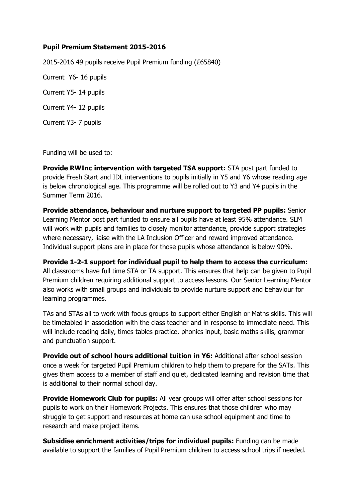## **Pupil Premium Statement 2015-2016**

2015-2016 49 pupils receive Pupil Premium funding (£65840)

Current Y6- 16 pupils

Current Y5- 14 pupils

Current Y4- 12 pupils

Current Y3- 7 pupils

Funding will be used to:

**Provide RWInc intervention with targeted TSA support:** STA post part funded to provide Fresh Start and IDL interventions to pupils initially in Y5 and Y6 whose reading age is below chronological age. This programme will be rolled out to Y3 and Y4 pupils in the Summer Term 2016.

**Provide attendance, behaviour and nurture support to targeted PP pupils:** Senior Learning Mentor post part funded to ensure all pupils have at least 95% attendance. SLM will work with pupils and families to closely monitor attendance, provide support strategies where necessary, liaise with the LA Inclusion Officer and reward improved attendance. Individual support plans are in place for those pupils whose attendance is below 90%.

**Provide 1-2-1 support for individual pupil to help them to access the curriculum:**  All classrooms have full time STA or TA support. This ensures that help can be given to Pupil Premium children requiring additional support to access lessons. Our Senior Learning Mentor also works with small groups and individuals to provide nurture support and behaviour for learning programmes.

TAs and STAs all to work with focus groups to support either English or Maths skills. This will be timetabled in association with the class teacher and in response to immediate need. This will include reading daily, times tables practice, phonics input, basic maths skills, grammar and punctuation support.

**Provide out of school hours additional tuition in Y6:** Additional after school session once a week for targeted Pupil Premium children to help them to prepare for the SATs. This gives them access to a member of staff and quiet, dedicated learning and revision time that is additional to their normal school day.

**Provide Homework Club for pupils:** All year groups will offer after school sessions for pupils to work on their Homework Projects. This ensures that those children who may struggle to get support and resources at home can use school equipment and time to research and make project items.

**Subsidise enrichment activities/trips for individual pupils:** Funding can be made available to support the families of Pupil Premium children to access school trips if needed.